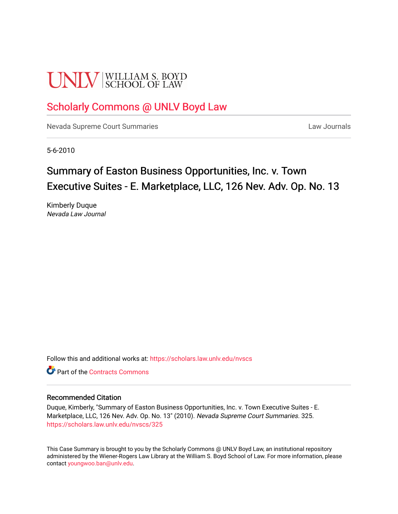# **UNLV** SCHOOL OF LAW

# [Scholarly Commons @ UNLV Boyd Law](https://scholars.law.unlv.edu/)

[Nevada Supreme Court Summaries](https://scholars.law.unlv.edu/nvscs) **Law Journals** Law Journals

5-6-2010

# Summary of Easton Business Opportunities, Inc. v. Town Executive Suites - E. Marketplace, LLC, 126 Nev. Adv. Op. No. 13

Kimberly Duque Nevada Law Journal

Follow this and additional works at: [https://scholars.law.unlv.edu/nvscs](https://scholars.law.unlv.edu/nvscs?utm_source=scholars.law.unlv.edu%2Fnvscs%2F325&utm_medium=PDF&utm_campaign=PDFCoverPages)

**C** Part of the [Contracts Commons](http://network.bepress.com/hgg/discipline/591?utm_source=scholars.law.unlv.edu%2Fnvscs%2F325&utm_medium=PDF&utm_campaign=PDFCoverPages)

# Recommended Citation

Duque, Kimberly, "Summary of Easton Business Opportunities, Inc. v. Town Executive Suites - E. Marketplace, LLC, 126 Nev. Adv. Op. No. 13" (2010). Nevada Supreme Court Summaries. 325. [https://scholars.law.unlv.edu/nvscs/325](https://scholars.law.unlv.edu/nvscs/325?utm_source=scholars.law.unlv.edu%2Fnvscs%2F325&utm_medium=PDF&utm_campaign=PDFCoverPages)

This Case Summary is brought to you by the Scholarly Commons @ UNLV Boyd Law, an institutional repository administered by the Wiener-Rogers Law Library at the William S. Boyd School of Law. For more information, please contact [youngwoo.ban@unlv.edu](mailto:youngwoo.ban@unlv.edu).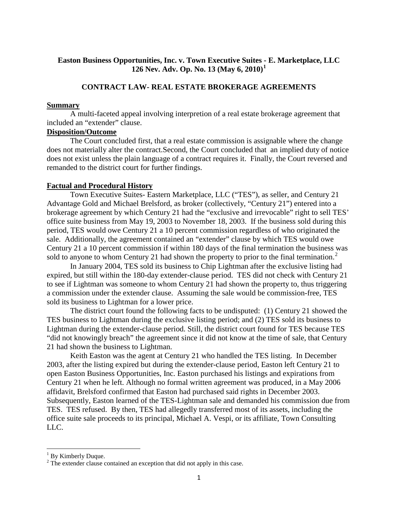# **Easton Business Opportunities, Inc. v. Town Executive Suites - E. Marketplace, LLC 126 Nev. Adv. Op. No. 13 (May 6, 2010)[1](#page-1-0)**

# **CONTRACT LAW- REAL ESTATE BROKERAGE AGREEMENTS**

#### **Summary**

A multi-faceted appeal involving interpretion of a real estate brokerage agreement that included an "extender" clause.

#### **Disposition/Outcome**

The Court concluded first, that a real estate commission is assignable where the change does not materially alter the contract.Second, the Court concluded that an implied duty of notice does not exist unless the plain language of a contract requires it. Finally, the Court reversed and remanded to the district court for further findings.

#### **Factual and Procedural History**

Town Executive Suites- Eastern Marketplace, LLC ("TES"), as seller, and Century 21 Advantage Gold and Michael Brelsford, as broker (collectively, "Century 21") entered into a brokerage agreement by which Century 21 had the "exclusive and irrevocable" right to sell TES' office suite business from May 19, 2003 to November 18, 2003. If the business sold during this period, TES would owe Century 21 a 10 percent commission regardless of who originated the sale. Additionally, the agreement contained an "extender" clause by which TES would owe Century 21 a 10 percent commission if within 180 days of the final termination the business was sold to anyone to whom Century [2](#page-1-1)1 had shown the property to prior to the final termination.<sup>2</sup>

In January 2004, TES sold its business to Chip Lightman after the exclusive listing had expired, but still within the 180-day extender-clause period. TES did not check with Century 21 to see if Lightman was someone to whom Century 21 had shown the property to, thus triggering a commission under the extender clause. Assuming the sale would be commission-free, TES sold its business to Lightman for a lower price.

The district court found the following facts to be undisputed: (1) Century 21 showed the TES business to Lightman during the exclusive listing period; and (2) TES sold its business to Lightman during the extender-clause period. Still, the district court found for TES because TES "did not knowingly breach" the agreement since it did not know at the time of sale, that Century 21 had shown the business to Lightman.

Keith Easton was the agent at Century 21 who handled the TES listing. In December 2003, after the listing expired but during the extender-clause period, Easton left Century 21 to open Easton Business Opportunities, Inc. Easton purchased his listings and expirations from Century 21 when he left. Although no formal written agreement was produced, in a May 2006 affidavit, Brelsford confirmed that Easton had purchased said rights in December 2003. Subsequently, Easton learned of the TES-Lightman sale and demanded his commission due from TES. TES refused. By then, TES had allegedly transferred most of its assets, including the office suite sale proceeds to its principal, Michael A. Vespi, or its affiliate, Town Consulting LLC.

<span id="page-1-1"></span><span id="page-1-0"></span> $1 \text{ By Kimberly Duque.}$ <br>
<sup>2</sup> The extender clause contained an exception that did not apply in this case.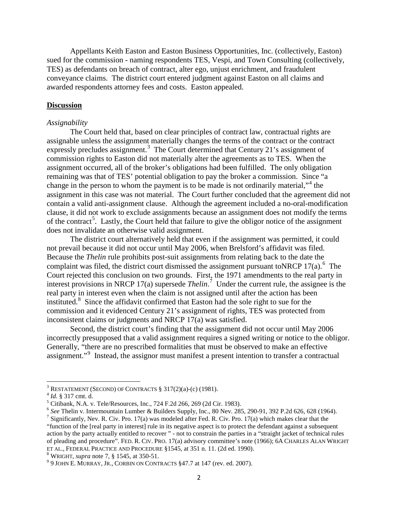Appellants Keith Easton and Easton Business Opportunities, Inc. (collectively, Easton) sued for the commission - naming respondents TES, Vespi, and Town Consulting (collectively, TES) as defendants on breach of contract, alter ego, unjust enrichment, and fraudulent conveyance claims. The district court entered judgment against Easton on all claims and awarded respondents attorney fees and costs. Easton appealed.

## **Discussion**

#### *Assignability*

The Court held that, based on clear principles of contract law, contractual rights are assignable unless the assignment materially changes the terms of the contract or the contract expressly precludes assignment.<sup>[3](#page-2-0)</sup> The Court determined that Century 21's assignment of commission rights to Easton did not materially alter the agreements as to TES. When the assignment occurred, all of the broker's obligations had been fulfilled. The only obligation remaining was that of TES' potential obligation to pay the broker a commission. Since "a change in the person to whom the payment is to be made is not ordinarily material,"<sup>[4](#page-2-1)</sup> the assignment in this case was not material. The Court further concluded that the agreement did not contain a valid anti-assignment clause. Although the agreement included a no-oral-modification clause, it did not work to exclude assignments because an assignment does not modify the terms of the contract<sup>[5](#page-2-2)</sup>. Lastly, the Court held that failure to give the obligor notice of the assignment does not invalidate an otherwise valid assignment.

The district court alternatively held that even if the assignment was permitted, it could not prevail because it did not occur until May 2006, when Brelsford's affidavit was filed. Because the *Thelin* rule prohibits post-suit assignments from relating back to the date the complaint was filed, the district court dismissed the assignment pursuant toNRCP 17(a).<sup>[6](#page-2-3)</sup> The Court rejected this conclusion on two grounds. First, the 1971 amendments to the real party in interest provisions in NRCP 17(a) supersede *Thelin*. [7](#page-2-4) Under the current rule, the assignee is the real party in interest even when the claim is not assigned until after the action has been instituted.<sup>[8](#page-2-5)</sup> Since the affidavit confirmed that Easton had the sole right to sue for the commission and it evidenced Century 21's assignment of rights, TES was protected from inconsistent claims or judgments and NRCP 17(a) was satisfied.

Second, the district court's finding that the assignment did not occur until May 2006 incorrectly presupposed that a valid assignment requires a signed writing or notice to the obligor. Generally, "there are no prescribed formalities that must be observed to make an effective assignment."<sup>[9](#page-2-6)</sup> Instead, the assignor must manifest a present intention to transfer a contractual

<span id="page-2-0"></span><sup>&</sup>lt;sup>3</sup> RESTATEMENT (SECOND) OF CONTRACTS § 317(2)(a)-(c) (1981).<br><sup>4</sup> *Id.* § 317 cmt. d.

<span id="page-2-1"></span>

<span id="page-2-2"></span><sup>&</sup>lt;sup>5</sup> Citibank, N.A. v. Tele/Resources, Inc., 724 F.2d 266, 269 (2d Cir. 1983).<br><sup>6</sup> See Thelin v. Intermountain Lumber & Builders Supply, Inc., 80 Nev. 285, 290-91, 392 P.2d 626, 628 (1964).

<span id="page-2-4"></span><span id="page-2-3"></span><sup>&</sup>lt;sup>7</sup> Significantly, Nev. R. Civ. Pro. 17(a) was modeled after Fed. R. Civ. Pro. 17(a) which makes clear that the "function of the [real party in interest] rule in its negative aspect is to protect the defendant against a subsequent action by the party actually entitled to recover " - not to constrain the parties in a "straight jacket of technical rules of pleading and procedure". FED. R. CIV. PRO. 17(a) advisory committee's note (1966); 6A CHARLES ALAN WRIGHT ET AL., FEDERAL PRACTICE AND PROCEDURE §1545, at 351 n. 11. (2d ed. 1990).

<span id="page-2-6"></span>

<span id="page-2-5"></span><sup>&</sup>lt;sup>8</sup> Wright, *supra* note 7, § 1545, at 350-51.<br><sup>9</sup> 9 JOHN E. MURRAY, JR., CORBIN ON CONTRACTS §47.7 at 147 (rev. ed. 2007).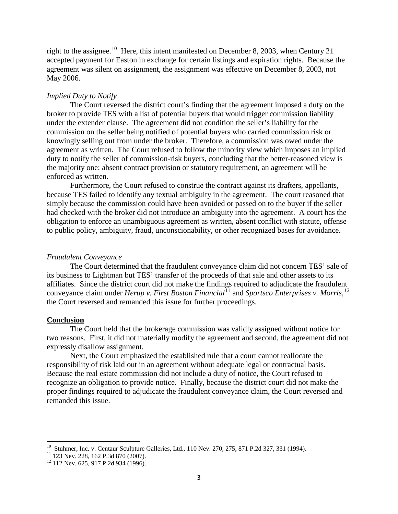right to the assignee.<sup>[10](#page-3-0)</sup> Here, this intent manifested on December 8, 2003, when Century 21 accepted payment for Easton in exchange for certain listings and expiration rights. Because the agreement was silent on assignment, the assignment was effective on December 8, 2003, not May 2006.

## *Implied Duty to Notify*

The Court reversed the district court's finding that the agreement imposed a duty on the broker to provide TES with a list of potential buyers that would trigger commission liability under the extender clause. The agreement did not condition the seller's liability for the commission on the seller being notified of potential buyers who carried commission risk or knowingly selling out from under the broker. Therefore, a commission was owed under the agreement as written. The Court refused to follow the minority view which imposes an implied duty to notify the seller of commission-risk buyers, concluding that the better-reasoned view is the majority one: absent contract provision or statutory requirement, an agreement will be enforced as written.

Furthermore, the Court refused to construe the contract against its drafters, appellants, because TES failed to identify any textual ambiguity in the agreement. The court reasoned that simply because the commission could have been avoided or passed on to the buyer if the seller had checked with the broker did not introduce an ambiguity into the agreement. A court has the obligation to enforce an unambiguous agreement as written, absent conflict with statute, offense to public policy, ambiguity, fraud, unconscionability, or other recognized bases for avoidance.

#### *Fraudulent Conveyance*

The Court determined that the fraudulent conveyance claim did not concern TES' sale of its business to Lightman but TES' transfer of the proceeds of that sale and other assets to its affiliates. Since the district court did not make the findings required to adjudicate the fraudulent conveyance claim under *Herup v. First Boston Financial*[11](#page-3-1) and *Sportsco Enterprises v. Morris, [12](#page-3-2)* the Court reversed and remanded this issue for further proceedings.

#### **Conclusion**

The Court held that the brokerage commission was validly assigned without notice for two reasons. First, it did not materially modify the agreement and second, the agreement did not expressly disallow assignment.

Next, the Court emphasized the established rule that a court cannot reallocate the responsibility of risk laid out in an agreement without adequate legal or contractual basis. Because the real estate commission did not include a duty of notice, the Court refused to recognize an obligation to provide notice. Finally, because the district court did not make the proper findings required to adjudicate the fraudulent conveyance claim, the Court reversed and remanded this issue.

<span id="page-3-1"></span><span id="page-3-0"></span><sup>&</sup>lt;sup>10</sup> Stuhmer, Inc. v. Centaur Sculpture Galleries, Ltd., 110 Nev. 270, 275, 871 P.2d 327, 331 (1994).<br><sup>11</sup> 123 Nev. 228, 162 P.3d 870 (2007).<br><sup>12</sup> 112 Nev. 625, 917 P.2d 934 (1996).

<span id="page-3-2"></span>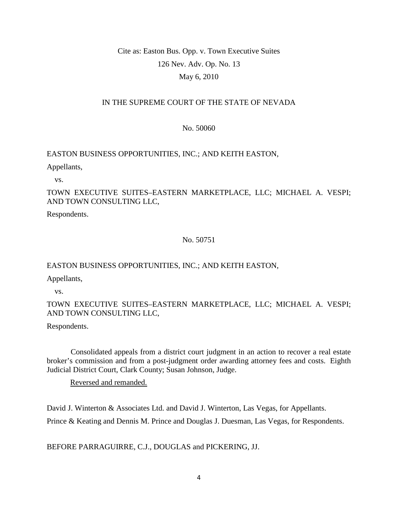# Cite as: Easton Bus. Opp. v. Town Executive Suites 126 Nev. Adv. Op. No. 13 May 6, 2010

# IN THE SUPREME COURT OF THE STATE OF NEVADA

# No. 50060

# EASTON BUSINESS OPPORTUNITIES, INC.; AND KEITH EASTON,

Appellants,

vs.

TOWN EXECUTIVE SUITES–EASTERN MARKETPLACE, LLC; MICHAEL A. VESPI; AND TOWN CONSULTING LLC,

Respondents.

No. 50751

# EASTON BUSINESS OPPORTUNITIES, INC.; AND KEITH EASTON,

Appellants,

vs.

# TOWN EXECUTIVE SUITES–EASTERN MARKETPLACE, LLC; MICHAEL A. VESPI; AND TOWN CONSULTING LLC,

Respondents.

 Consolidated appeals from a district court judgment in an action to recover a real estate broker's commission and from a post-judgment order awarding attorney fees and costs. Eighth Judicial District Court, Clark County; Susan Johnson, Judge.

Reversed and remanded.

David J. Winterton & Associates Ltd. and David J. Winterton, Las Vegas, for Appellants. Prince & Keating and Dennis M. Prince and Douglas J. Duesman, Las Vegas, for Respondents.

BEFORE PARRAGUIRRE, C.J., DOUGLAS and PICKERING, JJ.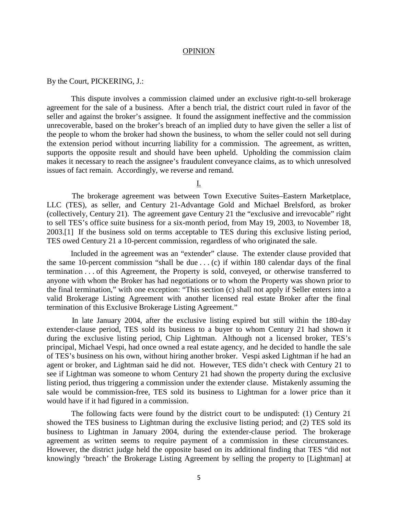#### OPINION

#### By the Court, PICKERING, J.:

 This dispute involves a commission claimed under an exclusive right-to-sell brokerage agreement for the sale of a business. After a bench trial, the district court ruled in favor of the seller and against the broker's assignee. It found the assignment ineffective and the commission unrecoverable, based on the broker's breach of an implied duty to have given the seller a list of the people to whom the broker had shown the business, to whom the seller could not sell during the extension period without incurring liability for a commission. The agreement, as written, supports the opposite result and should have been upheld. Upholding the commission claim makes it necessary to reach the assignee's fraudulent conveyance claims, as to which unresolved issues of fact remain. Accordingly, we reverse and remand.

I.

 The brokerage agreement was between Town Executive Suites–Eastern Marketplace, LLC (TES), as seller, and Century 21-Advantage Gold and Michael Brelsford, as broker (collectively, Century 21). The agreement gave Century 21 the "exclusive and irrevocable" right to sell TES's office suite business for a six-month period, from May 19, 2003, to November 18, 2003.[1] If the business sold on terms acceptable to TES during this exclusive listing period, TES owed Century 21 a 10-percent commission, regardless of who originated the sale.

 Included in the agreement was an "extender" clause. The extender clause provided that the same 10-percent commission "shall be due . . . (c) if within 180 calendar days of the final termination . . . of this Agreement, the Property is sold, conveyed, or otherwise transferred to anyone with whom the Broker has had negotiations or to whom the Property was shown prior to the final termination," with one exception: "This section (c) shall not apply if Seller enters into a valid Brokerage Listing Agreement with another licensed real estate Broker after the final termination of this Exclusive Brokerage Listing Agreement."

 In late January 2004, after the exclusive listing expired but still within the 180-day extender-clause period, TES sold its business to a buyer to whom Century 21 had shown it during the exclusive listing period, Chip Lightman. Although not a licensed broker, TES's principal, Michael Vespi, had once owned a real estate agency, and he decided to handle the sale of TES's business on his own, without hiring another broker. Vespi asked Lightman if he had an agent or broker, and Lightman said he did not. However, TES didn't check with Century 21 to see if Lightman was someone to whom Century 21 had shown the property during the exclusive listing period, thus triggering a commission under the extender clause. Mistakenly assuming the sale would be commission-free, TES sold its business to Lightman for a lower price than it would have if it had figured in a commission.

 The following facts were found by the district court to be undisputed: (1) Century 21 showed the TES business to Lightman during the exclusive listing period; and (2) TES sold its business to Lightman in January 2004, during the extender-clause period. The brokerage agreement as written seems to require payment of a commission in these circumstances. However, the district judge held the opposite based on its additional finding that TES "did not knowingly 'breach' the Brokerage Listing Agreement by selling the property to [Lightman] at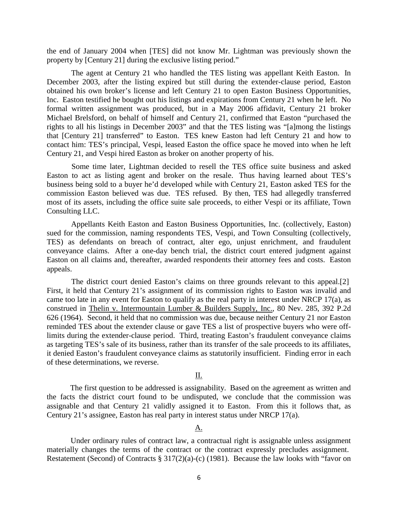the end of January 2004 when [TES] did not know Mr. Lightman was previously shown the property by [Century 21] during the exclusive listing period."

 The agent at Century 21 who handled the TES listing was appellant Keith Easton. In December 2003, after the listing expired but still during the extender-clause period, Easton obtained his own broker's license and left Century 21 to open Easton Business Opportunities, Inc. Easton testified he bought out his listings and expirations from Century 21 when he left. No formal written assignment was produced, but in a May 2006 affidavit, Century 21 broker Michael Brelsford, on behalf of himself and Century 21, confirmed that Easton "purchased the rights to all his listings in December 2003" and that the TES listing was "[a]mong the listings that [Century 21] transferred" to Easton. TES knew Easton had left Century 21 and how to contact him: TES's principal, Vespi, leased Easton the office space he moved into when he left Century 21, and Vespi hired Easton as broker on another property of his.

 Some time later, Lightman decided to resell the TES office suite business and asked Easton to act as listing agent and broker on the resale. Thus having learned about TES's business being sold to a buyer he'd developed while with Century 21, Easton asked TES for the commission Easton believed was due. TES refused. By then, TES had allegedly transferred most of its assets, including the office suite sale proceeds, to either Vespi or its affiliate, Town Consulting LLC.

 Appellants Keith Easton and Easton Business Opportunities, Inc. (collectively, Easton) sued for the commission, naming respondents TES, Vespi, and Town Consulting (collectively, TES) as defendants on breach of contract, alter ego, unjust enrichment, and fraudulent conveyance claims. After a one-day bench trial, the district court entered judgment against Easton on all claims and, thereafter, awarded respondents their attorney fees and costs. Easton appeals.

 The district court denied Easton's claims on three grounds relevant to this appeal.[2] First, it held that Century 21's assignment of its commission rights to Easton was invalid and came too late in any event for Easton to qualify as the real party in interest under NRCP 17(a), as construed in Thelin v. Intermountain Lumber & Builders Supply, Inc., 80 Nev. 285, 392 P.2d 626 (1964). Second, it held that no commission was due, because neither Century 21 nor Easton reminded TES about the extender clause or gave TES a list of prospective buyers who were offlimits during the extender-clause period. Third, treating Easton's fraudulent conveyance claims as targeting TES's sale of its business, rather than its transfer of the sale proceeds to its affiliates, it denied Easton's fraudulent conveyance claims as statutorily insufficient. Finding error in each of these determinations, we reverse.

#### II.

 The first question to be addressed is assignability. Based on the agreement as written and the facts the district court found to be undisputed, we conclude that the commission was assignable and that Century 21 validly assigned it to Easton. From this it follows that, as Century 21's assignee, Easton has real party in interest status under NRCP 17(a).

#### <u>A.</u>

 Under ordinary rules of contract law, a contractual right is assignable unless assignment materially changes the terms of the contract or the contract expressly precludes assignment. Restatement (Second) of Contracts § 317(2)(a)-(c) (1981). Because the law looks with "favor on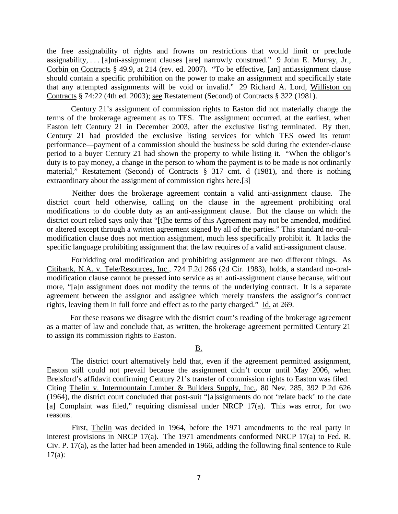the free assignability of rights and frowns on restrictions that would limit or preclude assignability, . . . [a]nti-assignment clauses [are] narrowly construed." 9 John E. Murray, Jr., Corbin on Contracts § 49.9, at 214 (rev. ed. 2007). "To be effective, [an] antiassignment clause should contain a specific prohibition on the power to make an assignment and specifically state that any attempted assignments will be void or invalid." 29 Richard A. Lord, Williston on Contracts § 74:22 (4th ed. 2003); see Restatement (Second) of Contracts § 322 (1981).

 Century 21's assignment of commission rights to Easton did not materially change the terms of the brokerage agreement as to TES. The assignment occurred, at the earliest, when Easton left Century 21 in December 2003, after the exclusive listing terminated. By then, Century 21 had provided the exclusive listing services for which TES owed its return performance—payment of a commission should the business be sold during the extender-clause period to a buyer Century 21 had shown the property to while listing it. "When the obligor's duty is to pay money, a change in the person to whom the payment is to be made is not ordinarily material," Restatement (Second) of Contracts § 317 cmt. d (1981), and there is nothing extraordinary about the assignment of commission rights here.[3]

 Neither does the brokerage agreement contain a valid anti-assignment clause. The district court held otherwise, calling on the clause in the agreement prohibiting oral modifications to do double duty as an anti-assignment clause. But the clause on which the district court relied says only that "[t]he terms of this Agreement may not be amended, modified or altered except through a written agreement signed by all of the parties." This standard no-oralmodification clause does not mention assignment, much less specifically prohibit it. It lacks the specific language prohibiting assignment that the law requires of a valid anti-assignment clause.

 Forbidding oral modification and prohibiting assignment are two different things. As Citibank, N.A. v. Tele/Resources, Inc., 724 F.2d 266 (2d Cir. 1983), holds, a standard no-oralmodification clause cannot be pressed into service as an anti-assignment clause because, without more, "[a]n assignment does not modify the terms of the underlying contract. It is a separate agreement between the assignor and assignee which merely transfers the assignor's contract rights, leaving them in full force and effect as to the party charged." Id. at 269.

 For these reasons we disagree with the district court's reading of the brokerage agreement as a matter of law and conclude that, as written, the brokerage agreement permitted Century 21 to assign its commission rights to Easton.

## B.

 The district court alternatively held that, even if the agreement permitted assignment, Easton still could not prevail because the assignment didn't occur until May 2006, when Brelsford's affidavit confirming Century 21's transfer of commission rights to Easton was filed. Citing Thelin v. Intermountain Lumber & Builders Supply, Inc., 80 Nev. 285, 392 P.2d 626 (1964), the district court concluded that post-suit "[a]ssignments do not 'relate back' to the date [a] Complaint was filed," requiring dismissal under NRCP 17(a). This was error, for two reasons.

 First, Thelin was decided in 1964, before the 1971 amendments to the real party in interest provisions in NRCP 17(a). The 1971 amendments conformed NRCP 17(a) to Fed. R. Civ. P. 17(a), as the latter had been amended in 1966, adding the following final sentence to Rule  $17(a)$ :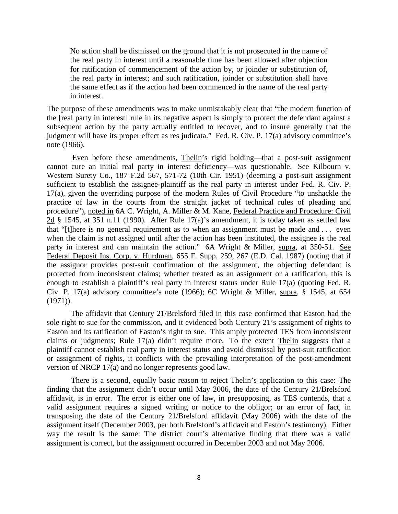No action shall be dismissed on the ground that it is not prosecuted in the name of the real party in interest until a reasonable time has been allowed after objection for ratification of commencement of the action by, or joinder or substitution of, the real party in interest; and such ratification, joinder or substitution shall have the same effect as if the action had been commenced in the name of the real party in interest.

The purpose of these amendments was to make unmistakably clear that "the modern function of the [real party in interest] rule in its negative aspect is simply to protect the defendant against a subsequent action by the party actually entitled to recover, and to insure generally that the judgment will have its proper effect as res judicata." Fed. R. Civ. P. 17(a) advisory committee's note (1966).

 Even before these amendments, Thelin's rigid holding—that a post-suit assignment cannot cure an initial real party in interest deficiency—was questionable. See Kilbourn v. Western Surety Co., 187 F.2d 567, 571-72 (10th Cir. 1951) (deeming a post-suit assignment sufficient to establish the assignee-plaintiff as the real party in interest under Fed. R. Civ. P. 17(a), given the overriding purpose of the modern Rules of Civil Procedure "to unshackle the practice of law in the courts from the straight jacket of technical rules of pleading and procedure"), noted in 6A C. Wright, A. Miller & M. Kane, Federal Practice and Procedure: Civil 2d  $\S$  1545, at 351 n.11 (1990). After Rule 17(a)'s amendment, it is today taken as settled law that "[t]here is no general requirement as to when an assignment must be made and . . . even when the claim is not assigned until after the action has been instituted, the assignee is the real party in interest and can maintain the action." 6A Wright & Miller, supra, at 350-51. See Federal Deposit Ins. Corp. v. Hurdman, 655 F. Supp. 259, 267 (E.D. Cal. 1987) (noting that if the assignor provides post-suit confirmation of the assignment, the objecting defendant is protected from inconsistent claims; whether treated as an assignment or a ratification, this is enough to establish a plaintiff's real party in interest status under Rule 17(a) (quoting Fed. R. Civ. P. 17(a) advisory committee's note (1966); 6C Wright & Miller, supra, § 1545, at 654  $(1971)$ ).

 The affidavit that Century 21/Brelsford filed in this case confirmed that Easton had the sole right to sue for the commission, and it evidenced both Century 21's assignment of rights to Easton and its ratification of Easton's right to sue. This amply protected TES from inconsistent claims or judgments; Rule 17(a) didn't require more. To the extent Thelin suggests that a plaintiff cannot establish real party in interest status and avoid dismissal by post-suit ratification or assignment of rights, it conflicts with the prevailing interpretation of the post-amendment version of NRCP 17(a) and no longer represents good law.

 There is a second, equally basic reason to reject Thelin's application to this case: The finding that the assignment didn't occur until May 2006, the date of the Century 21/Brelsford affidavit, is in error. The error is either one of law, in presupposing, as TES contends, that a valid assignment requires a signed writing or notice to the obligor; or an error of fact, in transposing the date of the Century 21/Brelsford affidavit (May 2006) with the date of the assignment itself (December 2003, per both Brelsford's affidavit and Easton's testimony). Either way the result is the same: The district court's alternative finding that there was a valid assignment is correct, but the assignment occurred in December 2003 and not May 2006.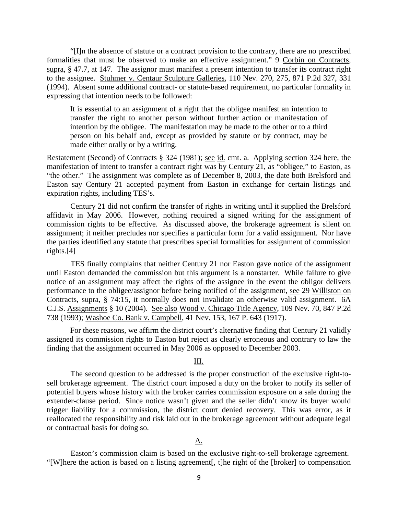"[I]n the absence of statute or a contract provision to the contrary, there are no prescribed formalities that must be observed to make an effective assignment." 9 Corbin on Contracts, supra, § 47.7, at 147. The assignor must manifest a present intention to transfer its contract right to the assignee. Stuhmer v. Centaur Sculpture Galleries, 110 Nev. 270, 275, 871 P.2d 327, 331 (1994). Absent some additional contract- or statute-based requirement, no particular formality in expressing that intention needs to be followed:

It is essential to an assignment of a right that the obligee manifest an intention to transfer the right to another person without further action or manifestation of intention by the obligee. The manifestation may be made to the other or to a third person on his behalf and, except as provided by statute or by contract, may be made either orally or by a writing.

Restatement (Second) of Contracts § 324 (1981); see id. cmt. a. Applying section 324 here, the manifestation of intent to transfer a contract right was by Century 21, as "obligee," to Easton, as "the other." The assignment was complete as of December 8, 2003, the date both Brelsford and Easton say Century 21 accepted payment from Easton in exchange for certain listings and expiration rights, including TES's.

 Century 21 did not confirm the transfer of rights in writing until it supplied the Brelsford affidavit in May 2006. However, nothing required a signed writing for the assignment of commission rights to be effective. As discussed above, the brokerage agreement is silent on assignment; it neither precludes nor specifies a particular form for a valid assignment. Nor have the parties identified any statute that prescribes special formalities for assignment of commission rights.[4]

 TES finally complains that neither Century 21 nor Easton gave notice of the assignment until Easton demanded the commission but this argument is a nonstarter. While failure to give notice of an assignment may affect the rights of the assignee in the event the obligor delivers performance to the obligee/assignor before being notified of the assignment, see 29 Williston on Contracts, supra, § 74:15, it normally does not invalidate an otherwise valid assignment. 6A C.J.S. Assignments § 10 (2004). See also Wood v. Chicago Title Agency, 109 Nev. 70, 847 P.2d 738 (1993); Washoe Co. Bank v. Campbell, 41 Nev. 153, 167 P. 643 (1917).

 For these reasons, we affirm the district court's alternative finding that Century 21 validly assigned its commission rights to Easton but reject as clearly erroneous and contrary to law the finding that the assignment occurred in May 2006 as opposed to December 2003.

# III.

 The second question to be addressed is the proper construction of the exclusive right-tosell brokerage agreement. The district court imposed a duty on the broker to notify its seller of potential buyers whose history with the broker carries commission exposure on a sale during the extender-clause period. Since notice wasn't given and the seller didn't know its buyer would trigger liability for a commission, the district court denied recovery. This was error, as it reallocated the responsibility and risk laid out in the brokerage agreement without adequate legal or contractual basis for doing so.

#### <u>A.</u>

 Easton's commission claim is based on the exclusive right-to-sell brokerage agreement. "[W]here the action is based on a listing agreement[, t]he right of the [broker] to compensation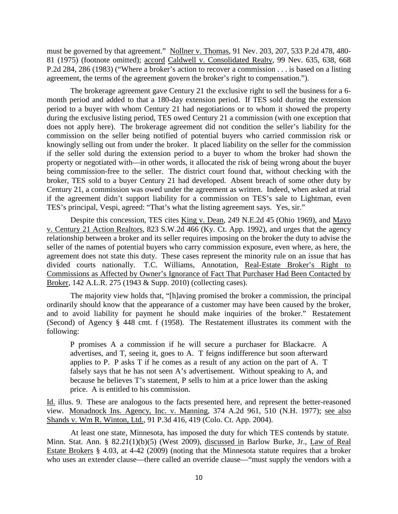must be governed by that agreement." Nollner v. Thomas, 91 Nev. 203, 207, 533 P.2d 478, 480- 81 (1975) (footnote omitted); accord Caldwell v. Consolidated Realty, 99 Nev. 635, 638, 668 P.2d 284, 286 (1983) ("Where a broker's action to recover a commission . . . is based on a listing agreement, the terms of the agreement govern the broker's right to compensation.").

 The brokerage agreement gave Century 21 the exclusive right to sell the business for a 6 month period and added to that a 180-day extension period. If TES sold during the extension period to a buyer with whom Century 21 had negotiations or to whom it showed the property during the exclusive listing period, TES owed Century 21 a commission (with one exception that does not apply here). The brokerage agreement did not condition the seller's liability for the commission on the seller being notified of potential buyers who carried commission risk or knowingly selling out from under the broker. It placed liability on the seller for the commission if the seller sold during the extension period to a buyer to whom the broker had shown the property or negotiated with—in other words, it allocated the risk of being wrong about the buyer being commission-free to the seller. The district court found that, without checking with the broker, TES sold to a buyer Century 21 had developed. Absent breach of some other duty by Century 21, a commission was owed under the agreement as written. Indeed, when asked at trial if the agreement didn't support liability for a commission on TES's sale to Lightman, even TES's principal, Vespi, agreed: "That's what the listing agreement says. Yes, sir."

Despite this concession, TES cites King v. Dean, 249 N.E.2d 45 (Ohio 1969), and Mayo v. Century 21 Action Realtors, 823 S.W.2d 466 (Ky. Ct. App. 1992), and urges that the agency relationship between a broker and its seller requires imposing on the broker the duty to advise the seller of the names of potential buyers who carry commission exposure, even where, as here, the agreement does not state this duty. These cases represent the minority rule on an issue that has divided courts nationally. T.C. Williams, Annotation, Real-Estate Broker's Right to Commissions as Affected by Owner's Ignorance of Fact That Purchaser Had Been Contacted by Broker, 142 A.L.R. 275 (1943 & Supp. 2010) (collecting cases).

 The majority view holds that, "[h]aving promised the broker a commission, the principal ordinarily should know that the appearance of a customer may have been caused by the broker, and to avoid liability for payment he should make inquiries of the broker." Restatement (Second) of Agency § 448 cmt. f (1958). The Restatement illustrates its comment with the following:

P promises A a commission if he will secure a purchaser for Blackacre. A advertises, and T, seeing it, goes to A. T feigns indifference but soon afterward applies to P. P asks T if he comes as a result of any action on the part of A. T falsely says that he has not seen A's advertisement. Without speaking to A, and because he believes T's statement, P sells to him at a price lower than the asking price. A is entitled to his commission.

Id. illus. 9. These are analogous to the facts presented here, and represent the better-reasoned view. Monadnock Ins. Agency, Inc. v. Manning, 374 A.2d 961, 510 (N.H. 1977); see also Shands v. Wm R. Winton, Ltd., 91 P.3d 416, 419 (Colo. Ct. App. 2004).

 At least one state, Minnesota, has imposed the duty for which TES contends by statute. Minn. Stat. Ann. § 82.21(1)(b)(5) (West 2009), discussed in Barlow Burke, Jr., Law of Real Estate Brokers § 4.03, at 4-42 (2009) (noting that the Minnesota statute requires that a broker who uses an extender clause—there called an override clause—"must supply the vendors with a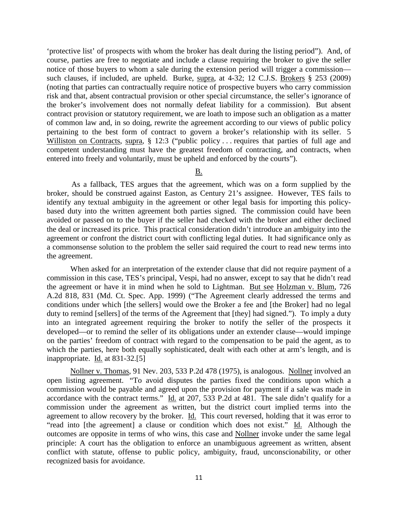'protective list' of prospects with whom the broker has dealt during the listing period"). And, of course, parties are free to negotiate and include a clause requiring the broker to give the seller notice of those buyers to whom a sale during the extension period will trigger a commission such clauses, if included, are upheld. Burke, supra, at 4-32; 12 C.J.S. Brokers § 253 (2009) (noting that parties can contractually require notice of prospective buyers who carry commission risk and that, absent contractual provision or other special circumstance, the seller's ignorance of the broker's involvement does not normally defeat liability for a commission). But absent contract provision or statutory requirement, we are loath to impose such an obligation as a matter of common law and, in so doing, rewrite the agreement according to our views of public policy pertaining to the best form of contract to govern a broker's relationship with its seller. 5 Williston on Contracts, supra, § 12:3 ("public policy ... requires that parties of full age and competent understanding must have the greatest freedom of contracting, and contracts, when entered into freely and voluntarily, must be upheld and enforced by the courts").

B.

 As a fallback, TES argues that the agreement, which was on a form supplied by the broker, should be construed against Easton, as Century 21's assignee. However, TES fails to identify any textual ambiguity in the agreement or other legal basis for importing this policybased duty into the written agreement both parties signed. The commission could have been avoided or passed on to the buyer if the seller had checked with the broker and either declined the deal or increased its price. This practical consideration didn't introduce an ambiguity into the agreement or confront the district court with conflicting legal duties. It had significance only as a commonsense solution to the problem the seller said required the court to read new terms into the agreement.

 When asked for an interpretation of the extender clause that did not require payment of a commission in this case, TES's principal, Vespi, had no answer, except to say that he didn't read the agreement or have it in mind when he sold to Lightman. But see Holzman v. Blum, 726 A.2d 818, 831 (Md. Ct. Spec. App. 1999) ("The Agreement clearly addressed the terms and conditions under which [the sellers] would owe the Broker a fee and [the Broker] had no legal duty to remind [sellers] of the terms of the Agreement that [they] had signed."). To imply a duty into an integrated agreement requiring the broker to notify the seller of the prospects it developed—or to remind the seller of its obligations under an extender clause—would impinge on the parties' freedom of contract with regard to the compensation to be paid the agent, as to which the parties, here both equally sophisticated, dealt with each other at arm's length, and is inappropriate. Id. at 831-32.[5]

Nollner v. Thomas, 91 Nev. 203, 533 P.2d 478 (1975), is analogous. Nollner involved an open listing agreement. "To avoid disputes the parties fixed the conditions upon which a commission would be payable and agreed upon the provision for payment if a sale was made in accordance with the contract terms." Id. at 207, 533 P.2d at 481. The sale didn't qualify for a commission under the agreement as written, but the district court implied terms into the agreement to allow recovery by the broker. Id. This court reversed, holding that it was error to "read into [the agreement] a clause or condition which does not exist." Id. Although the outcomes are opposite in terms of who wins, this case and Nollner invoke under the same legal principle: A court has the obligation to enforce an unambiguous agreement as written, absent conflict with statute, offense to public policy, ambiguity, fraud, unconscionability, or other recognized basis for avoidance.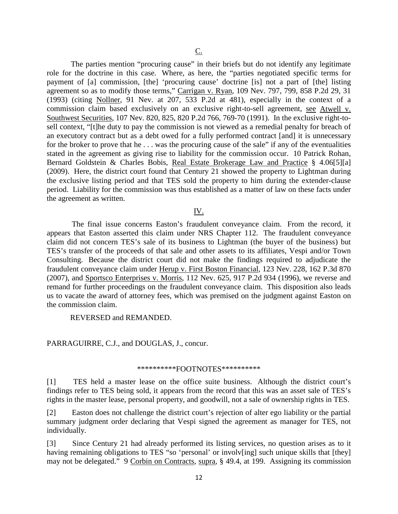The parties mention "procuring cause" in their briefs but do not identify any legitimate role for the doctrine in this case. Where, as here, the "parties negotiated specific terms for payment of [a] commission, [the] 'procuring cause' doctrine [is] not a part of [the] listing agreement so as to modify those terms," Carrigan v. Ryan, 109 Nev. 797, 799, 858 P.2d 29, 31 (1993) (citing Nollner, 91 Nev. at 207, 533 P.2d at 481), especially in the context of a commission claim based exclusively on an exclusive right-to-sell agreement, see Atwell v. Southwest Securities, 107 Nev. 820, 825, 820 P.2d 766, 769-70 (1991). In the exclusive right-tosell context, "[t]he duty to pay the commission is not viewed as a remedial penalty for breach of an executory contract but as a debt owed for a fully performed contract [and] it is unnecessary for the broker to prove that he . . . was the procuring cause of the sale" if any of the eventualities stated in the agreement as giving rise to liability for the commission occur. 10 Patrick Rohan, Bernard Goldstein & Charles Bobis, Real Estate Brokerage Law and Practice § 4.06[5][a] (2009). Here, the district court found that Century 21 showed the property to Lightman during the exclusive listing period and that TES sold the property to him during the extender-clause period. Liability for the commission was thus established as a matter of law on these facts under the agreement as written.

# IV.

 The final issue concerns Easton's fraudulent conveyance claim. From the record, it appears that Easton asserted this claim under NRS Chapter 112. The fraudulent conveyance claim did not concern TES's sale of its business to Lightman (the buyer of the business) but TES's transfer of the proceeds of that sale and other assets to its affiliates, Vespi and/or Town Consulting. Because the district court did not make the findings required to adjudicate the fraudulent conveyance claim under Herup v. First Boston Financial, 123 Nev. 228, 162 P.3d 870 (2007), and Sportsco Enterprises v. Morris, 112 Nev. 625, 917 P.2d 934 (1996), we reverse and remand for further proceedings on the fraudulent conveyance claim. This disposition also leads us to vacate the award of attorney fees, which was premised on the judgment against Easton on the commission claim.

REVERSED and REMANDED.

### PARRAGUIRRE, C.J., and DOUGLAS, J., concur.

## \*\*\*\*\*\*\*\*\*\*FOOTNOTES\*\*\*\*\*\*\*\*\*\*

[1] TES held a master lease on the office suite business. Although the district court's findings refer to TES being sold, it appears from the record that this was an asset sale of TES's rights in the master lease, personal property, and goodwill, not a sale of ownership rights in TES.

[2] Easton does not challenge the district court's rejection of alter ego liability or the partial summary judgment order declaring that Vespi signed the agreement as manager for TES, not individually.

[3] Since Century 21 had already performed its listing services, no question arises as to it having remaining obligations to TES "so 'personal' or involv[ing] such unique skills that [they] may not be delegated." 9 Corbin on Contracts, supra, § 49.4, at 199. Assigning its commission